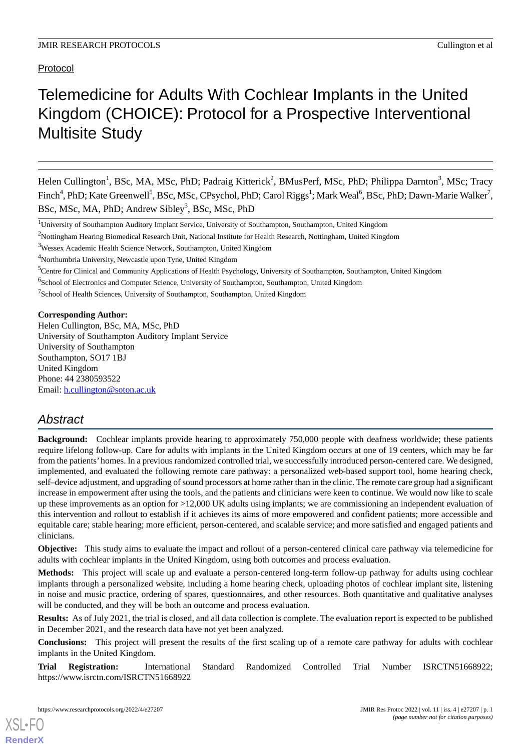Protocol

# Telemedicine for Adults With Cochlear Implants in the United Kingdom (CHOICE): Protocol for a Prospective Interventional Multisite Study

Helen Cullington<sup>1</sup>, BSc, MA, MSc, PhD; Padraig Kitterick<sup>2</sup>, BMusPerf, MSc, PhD; Philippa Darnton<sup>3</sup>, MSc; Tracy Finch<sup>4</sup>, PhD; Kate Greenwell<sup>5</sup>, BSc, MSc, CPsychol, PhD; Carol Riggs<sup>1</sup>; Mark Weal<sup>6</sup>, BSc, PhD; Dawn-Marie Walker<sup>7</sup>, BSc, MSc, MA, PhD; Andrew Sibley<sup>3</sup>, BSc, MSc, PhD

<sup>5</sup>Centre for Clinical and Community Applications of Health Psychology, University of Southampton, Southampton, United Kingdom

<sup>7</sup>School of Health Sciences, University of Southampton, Southampton, United Kingdom

#### **Corresponding Author:**

Helen Cullington, BSc, MA, MSc, PhD University of Southampton Auditory Implant Service University of Southampton Southampton, SO17 1BJ United Kingdom Phone: 44 2380593522 Email: [h.cullington@soton.ac.uk](mailto:h.cullington@soton.ac.uk)

# *Abstract*

**Background:** Cochlear implants provide hearing to approximately 750,000 people with deafness worldwide; these patients require lifelong follow-up. Care for adults with implants in the United Kingdom occurs at one of 19 centers, which may be far from the patients' homes. In a previous randomized controlled trial, we successfully introduced person-centered care. We designed, implemented, and evaluated the following remote care pathway: a personalized web-based support tool, home hearing check, self–device adjustment, and upgrading of sound processors at home rather than in the clinic. The remote care group had a significant increase in empowerment after using the tools, and the patients and clinicians were keen to continue. We would now like to scale up these improvements as an option for >12,000 UK adults using implants; we are commissioning an independent evaluation of this intervention and rollout to establish if it achieves its aims of more empowered and confident patients; more accessible and equitable care; stable hearing; more efficient, person-centered, and scalable service; and more satisfied and engaged patients and clinicians.

**Objective:** This study aims to evaluate the impact and rollout of a person-centered clinical care pathway via telemedicine for adults with cochlear implants in the United Kingdom, using both outcomes and process evaluation.

**Methods:** This project will scale up and evaluate a person-centered long-term follow-up pathway for adults using cochlear implants through a personalized website, including a home hearing check, uploading photos of cochlear implant site, listening in noise and music practice, ordering of spares, questionnaires, and other resources. Both quantitative and qualitative analyses will be conducted, and they will be both an outcome and process evaluation.

**Results:** As of July 2021, the trial is closed, and all data collection is complete. The evaluation report is expected to be published in December 2021, and the research data have not yet been analyzed.

**Conclusions:** This project will present the results of the first scaling up of a remote care pathway for adults with cochlear implants in the United Kingdom.

**Trial Registration:** International Standard Randomized Controlled Trial Number ISRCTN51668922; https://www.isrctn.com/ISRCTN51668922

<sup>&</sup>lt;sup>1</sup>University of Southampton Auditory Implant Service, University of Southampton, Southampton, United Kingdom

<sup>&</sup>lt;sup>2</sup>Nottingham Hearing Biomedical Research Unit, National Institute for Health Research, Nottingham, United Kingdom

<sup>3</sup>Wessex Academic Health Science Network, Southampton, United Kingdom

<sup>4</sup>Northumbria University, Newcastle upon Tyne, United Kingdom

<sup>&</sup>lt;sup>6</sup>School of Electronics and Computer Science, University of Southampton, Southampton, United Kingdom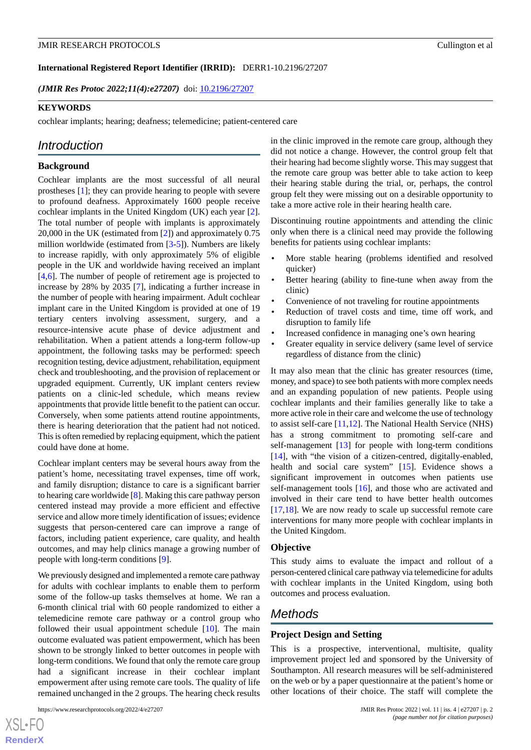#### **International Registered Report Identifier (IRRID):** DERR1-10.2196/27207

*(JMIR Res Protoc 2022;11(4):e27207)* doi: [10.2196/27207](http://dx.doi.org/10.2196/27207)

#### **KEYWORDS**

cochlear implants; hearing; deafness; telemedicine; patient-centered care

# *Introduction*

#### **Background**

Cochlear implants are the most successful of all neural prostheses [\[1](#page-11-0)]; they can provide hearing to people with severe to profound deafness. Approximately 1600 people receive cochlear implants in the United Kingdom (UK) each year [[2\]](#page-11-1). The total number of people with implants is approximately 20,000 in the UK (estimated from [\[2](#page-11-1)]) and approximately 0.75 million worldwide (estimated from [\[3](#page-11-2)-[5\]](#page-11-3)). Numbers are likely to increase rapidly, with only approximately 5% of eligible people in the UK and worldwide having received an implant [[4](#page-11-4)[,6](#page-11-5)]. The number of people of retirement age is projected to increase by 28% by 2035 [[7\]](#page-11-6), indicating a further increase in the number of people with hearing impairment. Adult cochlear implant care in the United Kingdom is provided at one of 19 tertiary centers involving assessment, surgery, and a resource-intensive acute phase of device adjustment and rehabilitation. When a patient attends a long-term follow-up appointment, the following tasks may be performed: speech recognition testing, device adjustment, rehabilitation, equipment check and troubleshooting, and the provision of replacement or upgraded equipment. Currently, UK implant centers review patients on a clinic-led schedule, which means review appointments that provide little benefit to the patient can occur. Conversely, when some patients attend routine appointments, there is hearing deterioration that the patient had not noticed. This is often remedied by replacing equipment, which the patient could have done at home.

Cochlear implant centers may be several hours away from the patient's home, necessitating travel expenses, time off work, and family disruption; distance to care is a significant barrier to hearing care worldwide [[8\]](#page-11-7). Making this care pathway person centered instead may provide a more efficient and effective service and allow more timely identification of issues; evidence suggests that person-centered care can improve a range of factors, including patient experience, care quality, and health outcomes, and may help clinics manage a growing number of people with long-term conditions [\[9](#page-11-8)].

We previously designed and implemented a remote care pathway for adults with cochlear implants to enable them to perform some of the follow-up tasks themselves at home. We ran a 6-month clinical trial with 60 people randomized to either a telemedicine remote care pathway or a control group who followed their usual appointment schedule [\[10](#page-11-9)]. The main outcome evaluated was patient empowerment, which has been shown to be strongly linked to better outcomes in people with long-term conditions. We found that only the remote care group had a significant increase in their cochlear implant empowerment after using remote care tools. The quality of life remained unchanged in the 2 groups. The hearing check results

 $XS$  $\cdot$ FC **[RenderX](http://www.renderx.com/)** in the clinic improved in the remote care group, although they did not notice a change. However, the control group felt that their hearing had become slightly worse. This may suggest that the remote care group was better able to take action to keep their hearing stable during the trial, or, perhaps, the control group felt they were missing out on a desirable opportunity to take a more active role in their hearing health care.

Discontinuing routine appointments and attending the clinic only when there is a clinical need may provide the following benefits for patients using cochlear implants:

- More stable hearing (problems identified and resolved quicker)
- Better hearing (ability to fine-tune when away from the clinic)
- Convenience of not traveling for routine appointments
- Reduction of travel costs and time, time off work, and disruption to family life
- Increased confidence in managing one's own hearing
- Greater equality in service delivery (same level of service regardless of distance from the clinic)

It may also mean that the clinic has greater resources (time, money, and space) to see both patients with more complex needs and an expanding population of new patients. People using cochlear implants and their families generally like to take a more active role in their care and welcome the use of technology to assist self-care [\[11](#page-11-10),[12\]](#page-11-11). The National Health Service (NHS) has a strong commitment to promoting self-care and self-management [\[13](#page-11-12)] for people with long-term conditions [[14\]](#page-11-13), with "the vision of a citizen-centred, digitally-enabled, health and social care system" [[15\]](#page-11-14). Evidence shows a significant improvement in outcomes when patients use self-management tools [[16\]](#page-12-0), and those who are activated and involved in their care tend to have better health outcomes [[17,](#page-12-1)[18\]](#page-12-2). We are now ready to scale up successful remote care interventions for many more people with cochlear implants in the United Kingdom.

#### **Objective**

This study aims to evaluate the impact and rollout of a person-centered clinical care pathway via telemedicine for adults with cochlear implants in the United Kingdom, using both outcomes and process evaluation.

# *Methods*

#### **Project Design and Setting**

This is a prospective, interventional, multisite, quality improvement project led and sponsored by the University of Southampton. All research measures will be self-administered on the web or by a paper questionnaire at the patient's home or other locations of their choice. The staff will complete the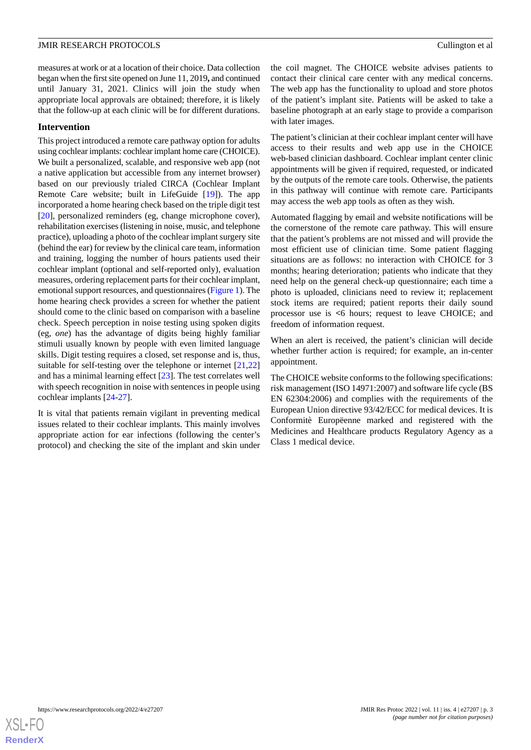measures at work or at a location of their choice. Data collection began when the first site opened on June 11, 2019**,** and continued until January 31, 2021. Clinics will join the study when appropriate local approvals are obtained; therefore, it is likely that the follow-up at each clinic will be for different durations.

#### **Intervention**

This project introduced a remote care pathway option for adults using cochlear implants: cochlear implant home care (CHOICE). We built a personalized, scalable, and responsive web app (not a native application but accessible from any internet browser) based on our previously trialed CIRCA (Cochlear Implant Remote Care website; built in LifeGuide [[19\]](#page-12-3)). The app incorporated a home hearing check based on the triple digit test [[20\]](#page-12-4), personalized reminders (eg, change microphone cover), rehabilitation exercises (listening in noise, music, and telephone practice), uploading a photo of the cochlear implant surgery site (behind the ear) for review by the clinical care team, information and training, logging the number of hours patients used their cochlear implant (optional and self-reported only), evaluation measures, ordering replacement parts for their cochlear implant, emotional support resources, and questionnaires ([Figure 1\)](#page-3-0). The home hearing check provides a screen for whether the patient should come to the clinic based on comparison with a baseline check. Speech perception in noise testing using spoken digits (eg, *one*) has the advantage of digits being highly familiar stimuli usually known by people with even limited language skills. Digit testing requires a closed, set response and is, thus, suitable for self-testing over the telephone or internet [[21](#page-12-5)[,22](#page-12-6)] and has a minimal learning effect [[23\]](#page-12-7). The test correlates well with speech recognition in noise with sentences in people using cochlear implants [\[24](#page-12-8)[-27](#page-12-9)].

It is vital that patients remain vigilant in preventing medical issues related to their cochlear implants. This mainly involves appropriate action for ear infections (following the center's protocol) and checking the site of the implant and skin under

the coil magnet. The CHOICE website advises patients to contact their clinical care center with any medical concerns. The web app has the functionality to upload and store photos of the patient's implant site. Patients will be asked to take a baseline photograph at an early stage to provide a comparison with later images.

The patient's clinician at their cochlear implant center will have access to their results and web app use in the CHOICE web-based clinician dashboard. Cochlear implant center clinic appointments will be given if required, requested, or indicated by the outputs of the remote care tools. Otherwise, the patients in this pathway will continue with remote care. Participants may access the web app tools as often as they wish.

Automated flagging by email and website notifications will be the cornerstone of the remote care pathway. This will ensure that the patient's problems are not missed and will provide the most efficient use of clinician time. Some patient flagging situations are as follows: no interaction with CHOICE for 3 months; hearing deterioration; patients who indicate that they need help on the general check-up questionnaire; each time a photo is uploaded, clinicians need to review it; replacement stock items are required; patient reports their daily sound processor use is **<**6 hours; request to leave CHOICE; and freedom of information request.

When an alert is received, the patient's clinician will decide whether further action is required; for example, an in-center appointment.

The CHOICE website conforms to the following specifications: risk management (ISO 14971:2007) and software life cycle (BS EN 62304:2006) and complies with the requirements of the European Union directive 93/42/ECC for medical devices. It is Conformitè Europëenne marked and registered with the Medicines and Healthcare products Regulatory Agency as a Class 1 medical device.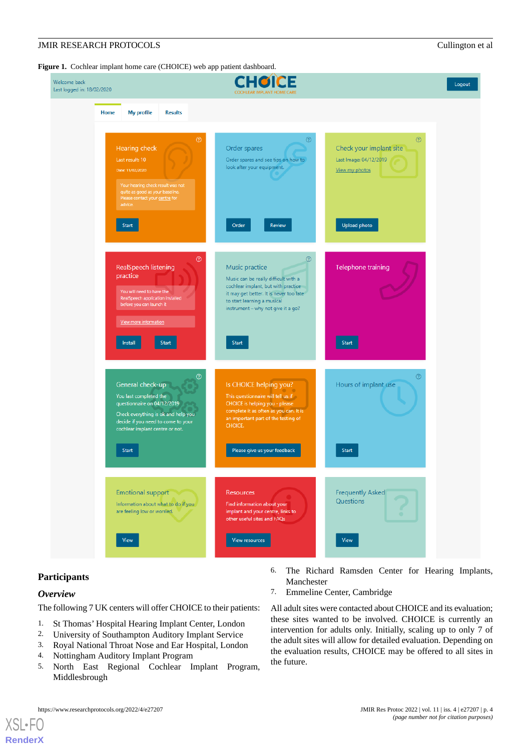<span id="page-3-0"></span>Figure 1. Cochlear implant home care (CHOICE) web app patient dashboard.

| Welcome back<br>Last logged in: 18/02/2020                                                                                                                                                     | <b>COCHLEAR IMPLANT HOME CARE</b>                                                                                                                                                                                  |                                                                                | Logout |
|------------------------------------------------------------------------------------------------------------------------------------------------------------------------------------------------|--------------------------------------------------------------------------------------------------------------------------------------------------------------------------------------------------------------------|--------------------------------------------------------------------------------|--------|
| <b>My profile</b><br><b>Results</b><br><b>Home</b>                                                                                                                                             |                                                                                                                                                                                                                    |                                                                                |        |
| $\odot$<br>Hearing check<br>Last result: 10<br>Date: 11/02/2020<br>Your hearing check result was not<br>quite as good as your baseline.<br>Please contact your centre for<br>advice.           | $^{\circ}$<br>Order spares<br>Order spares and see tips on how to<br>look after your equipment.                                                                                                                    | $\odot$<br>Check your implant site<br>Last Image: 04/12/2019<br>View my photos |        |
| <b>Start</b>                                                                                                                                                                                   | Order<br>Review                                                                                                                                                                                                    | Upload photo                                                                   |        |
| $\circledcirc$<br>RealSpeech listening<br>practice<br>You will need to have the<br>RealSpeech application installed<br>before you can launch it                                                | ℗<br>Music practice<br>Music can be really difficult with a<br>cochlear implant, but with practice<br>it may get better. It is never too late<br>to start learning a musical<br>instrument - why not give it a go? | Telephone training                                                             |        |
| View more information<br><b>Install</b><br><b>Start</b>                                                                                                                                        | <b>Start</b>                                                                                                                                                                                                       | Start                                                                          |        |
| ℗<br>General check-up<br>You last completed the<br>questionnaire on 04/12/2019<br>Check everything is ok and help you<br>decide if you need to come to your<br>cochlear implant centre or not. | Is CHOICE helping you?<br>This questionnaire will tell us if<br>CHOICE is helping you - please<br>complete it as often as you can. It is<br>an important part of the testing of<br>CHOICE.                         | $\circledcirc$<br>Hours of implant use                                         |        |
| <b>Start</b>                                                                                                                                                                                   | Please give us your feedback                                                                                                                                                                                       | <b>Start</b>                                                                   |        |
| <b>Emotional support</b><br>Information about what to do if you<br>are feeling low or worried.                                                                                                 | Resources<br>Find information about your<br>implant and your centre, links to<br>other useful sites and FAQs                                                                                                       | <b>Frequently Asked</b><br>Questions                                           |        |
| <b>View</b>                                                                                                                                                                                    | View resources                                                                                                                                                                                                     | View                                                                           |        |

#### **Participants**

#### *Overview*

 $XS$  • FC **[RenderX](http://www.renderx.com/)**

The following 7 UK centers will offer CHOICE to their patients:

- 1. St Thomas' Hospital Hearing Implant Center, London
- 2. University of Southampton Auditory Implant Service
- 3. Royal National Throat Nose and Ear Hospital, London
- 4. Nottingham Auditory Implant Program
- 5. North East Regional Cochlear Implant Program, Middlesbrough
- 6. The Richard Ramsden Center for Hearing Implants, Manchester
- 7. Emmeline Center, Cambridge

All adult sites were contacted about CHOICE and its evaluation; these sites wanted to be involved. CHOICE is currently an intervention for adults only. Initially, scaling up to only 7 of the adult sites will allow for detailed evaluation. Depending on the evaluation results, CHOICE may be offered to all sites in the future.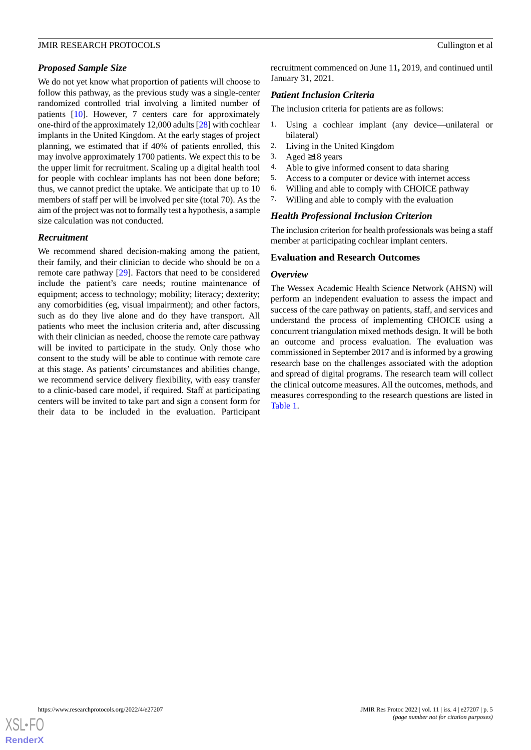# *Proposed Sample Size*

We do not yet know what proportion of patients will choose to follow this pathway, as the previous study was a single-center randomized controlled trial involving a limited number of patients [[10\]](#page-11-9). However, 7 centers care for approximately one-third of the approximately 12,000 adults [\[28](#page-12-10)] with cochlear implants in the United Kingdom. At the early stages of project planning, we estimated that if 40% of patients enrolled, this may involve approximately 1700 patients. We expect this to be the upper limit for recruitment. Scaling up a digital health tool for people with cochlear implants has not been done before; thus, we cannot predict the uptake. We anticipate that up to 10 members of staff per will be involved per site (total 70). As the aim of the project was not to formally test a hypothesis, a sample size calculation was not conducted.

#### *Recruitment*

We recommend shared decision-making among the patient, their family, and their clinician to decide who should be on a remote care pathway [\[29](#page-12-11)]. Factors that need to be considered include the patient's care needs; routine maintenance of equipment; access to technology; mobility; literacy; dexterity; any comorbidities (eg, visual impairment); and other factors, such as do they live alone and do they have transport. All patients who meet the inclusion criteria and, after discussing with their clinician as needed, choose the remote care pathway will be invited to participate in the study. Only those who consent to the study will be able to continue with remote care at this stage. As patients' circumstances and abilities change, we recommend service delivery flexibility, with easy transfer to a clinic-based care model, if required. Staff at participating centers will be invited to take part and sign a consent form for their data to be included in the evaluation. Participant recruitment commenced on June 11**,** 2019, and continued until January 31, 2021.

# *Patient Inclusion Criteria*

The inclusion criteria for patients are as follows:

- 1. Using a cochlear implant (any device—unilateral or bilateral)
- 2. Living in the United Kingdom
- 3. Aged ≥18 years
- 4. Able to give informed consent to data sharing
- 5. Access to a computer or device with internet access
- 6. Willing and able to comply with CHOICE pathway
- 7. Willing and able to comply with the evaluation

# *Health Professional Inclusion Criterion*

The inclusion criterion for health professionals was being a staff member at participating cochlear implant centers.

#### **Evaluation and Research Outcomes**

#### *Overview*

The Wessex Academic Health Science Network (AHSN) will perform an independent evaluation to assess the impact and success of the care pathway on patients, staff, and services and understand the process of implementing CHOICE using a concurrent triangulation mixed methods design. It will be both an outcome and process evaluation. The evaluation was commissioned in September 2017 and is informed by a growing research base on the challenges associated with the adoption and spread of digital programs. The research team will collect the clinical outcome measures. All the outcomes, methods, and measures corresponding to the research questions are listed in [Table 1](#page-5-0).

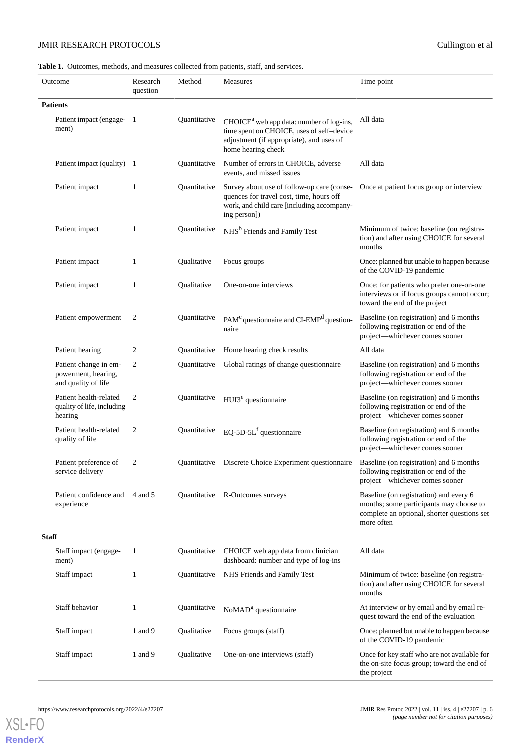<span id="page-5-0"></span>Table 1. Outcomes, methods, and measures collected from patients, staff, and services.

| Outcome                                                             | Research<br>question | Method       | Measures                                                                                                                                                  | Time point                                                                                                                                     |  |
|---------------------------------------------------------------------|----------------------|--------------|-----------------------------------------------------------------------------------------------------------------------------------------------------------|------------------------------------------------------------------------------------------------------------------------------------------------|--|
| <b>Patients</b>                                                     |                      |              |                                                                                                                                                           |                                                                                                                                                |  |
| Patient impact (engage-1<br>ment)                                   |                      | Quantitative | $CHOICEa$ web app data: number of log-ins,<br>time spent on CHOICE, uses of self-device<br>adjustment (if appropriate), and uses of<br>home hearing check | All data                                                                                                                                       |  |
| Patient impact (quality) 1                                          |                      | Quantitative | Number of errors in CHOICE, adverse<br>events, and missed issues                                                                                          | All data                                                                                                                                       |  |
| Patient impact                                                      | 1                    | Quantitative | Survey about use of follow-up care (conse-<br>quences for travel cost, time, hours off<br>work, and child care [including accompany-<br>ing person])      | Once at patient focus group or interview                                                                                                       |  |
| Patient impact                                                      | 1                    | Quantitative | NHS <sup>b</sup> Friends and Family Test                                                                                                                  | Minimum of twice: baseline (on registra-<br>tion) and after using CHOICE for several<br>months                                                 |  |
| Patient impact                                                      | 1                    | Qualitative  | Focus groups                                                                                                                                              | Once: planned but unable to happen because<br>of the COVID-19 pandemic                                                                         |  |
| Patient impact                                                      | 1                    | Qualitative  | One-on-one interviews                                                                                                                                     | Once: for patients who prefer one-on-one<br>interviews or if focus groups cannot occur;<br>toward the end of the project                       |  |
| Patient empowerment                                                 | 2                    | Quantitative | PAM <sup>c</sup> questionnaire and CI-EMP <sup>d</sup> question-<br>naire                                                                                 | Baseline (on registration) and 6 months<br>following registration or end of the<br>project-whichever comes sooner                              |  |
| Patient hearing                                                     | 2                    | Quantitative | Home hearing check results                                                                                                                                | All data                                                                                                                                       |  |
| Patient change in em-<br>powerment, hearing,<br>and quality of life | 2                    | Quantitative | Global ratings of change questionnaire                                                                                                                    | Baseline (on registration) and 6 months<br>following registration or end of the<br>project-whichever comes sooner                              |  |
| Patient health-related<br>quality of life, including<br>hearing     | 2                    | Quantitative | HUI3 <sup>e</sup> questionnaire                                                                                                                           | Baseline (on registration) and 6 months<br>following registration or end of the<br>project-whichever comes sooner                              |  |
| Patient health-related<br>quality of life                           | 2                    | Quantitative | EQ-5D-5L <sup>f</sup> questionnaire                                                                                                                       | Baseline (on registration) and 6 months<br>following registration or end of the<br>project-whichever comes sooner                              |  |
| Patient preference of<br>service delivery                           | 2                    |              | Quantitative Discrete Choice Experiment questionnaire                                                                                                     | Baseline (on registration) and 6 months<br>following registration or end of the<br>project—whichever comes sooner                              |  |
| Patient confidence and 4 and 5<br>experience                        |                      |              | Quantitative R-Outcomes surveys                                                                                                                           | Baseline (on registration) and every 6<br>months; some participants may choose to<br>complete an optional, shorter questions set<br>more often |  |
| <b>Staff</b>                                                        |                      |              |                                                                                                                                                           |                                                                                                                                                |  |
| Staff impact (engage-<br>ment)                                      | -1                   | Quantitative | CHOICE web app data from clinician<br>dashboard: number and type of log-ins                                                                               | All data                                                                                                                                       |  |
| Staff impact                                                        | 1                    | Quantitative | NHS Friends and Family Test                                                                                                                               | Minimum of twice: baseline (on registra-<br>tion) and after using CHOICE for several<br>months                                                 |  |
| Staff behavior                                                      | 1                    | Quantitative | At interview or by email and by email re-<br>NoMAD <sup>g</sup> questionnaire<br>quest toward the end of the evaluation                                   |                                                                                                                                                |  |
| Staff impact                                                        | 1 and 9              | Qualitative  | Focus groups (staff)                                                                                                                                      | Once: planned but unable to happen because<br>of the COVID-19 pandemic                                                                         |  |
| Staff impact                                                        | 1 and 9              | Qualitative  | One-on-one interviews (staff)                                                                                                                             | Once for key staff who are not available for<br>the on-site focus group; toward the end of<br>the project                                      |  |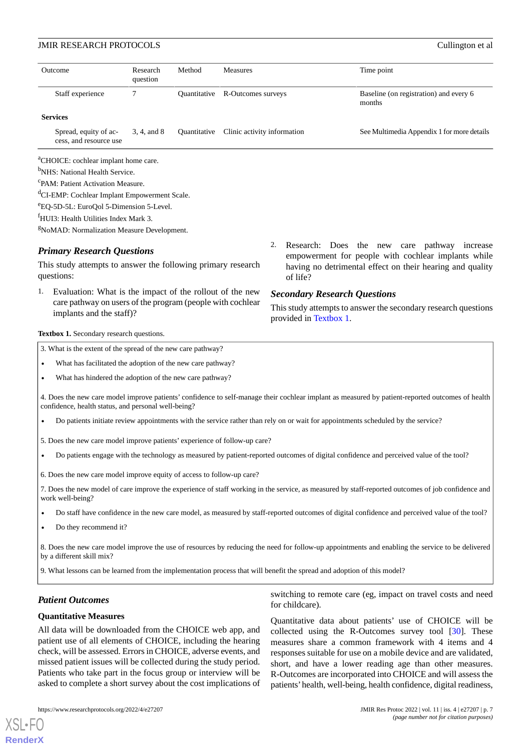| Outcome                                                                                                         | Research<br>question | Method       | <b>Measures</b>             |    | Time point                                                                                                                                                                            |
|-----------------------------------------------------------------------------------------------------------------|----------------------|--------------|-----------------------------|----|---------------------------------------------------------------------------------------------------------------------------------------------------------------------------------------|
| Staff experience                                                                                                | 7                    | Ouantitative | R-Outcomes surveys          |    | Baseline (on registration) and every 6<br>months                                                                                                                                      |
| <b>Services</b>                                                                                                 |                      |              |                             |    |                                                                                                                                                                                       |
| Spread, equity of ac-<br>cess, and resource use                                                                 | 3, 4, and 8          | Quantitative | Clinic activity information |    | See Multimedia Appendix 1 for more details                                                                                                                                            |
| <sup>a</sup> CHOICE: cochlear implant home care.                                                                |                      |              |                             |    |                                                                                                                                                                                       |
| <sup>b</sup> NHS: National Health Service.                                                                      |                      |              |                             |    |                                                                                                                                                                                       |
| <sup>c</sup> PAM: Patient Activation Measure.                                                                   |                      |              |                             |    |                                                                                                                                                                                       |
| <sup>d</sup> CI-EMP: Cochlear Implant Empowerment Scale.                                                        |                      |              |                             |    |                                                                                                                                                                                       |
| <sup>e</sup> EQ-5D-5L: EuroQol 5-Dimension 5-Level.                                                             |                      |              |                             |    |                                                                                                                                                                                       |
| <sup>†</sup> HUI3: Health Utilities Index Mark 3.                                                               |                      |              |                             |    |                                                                                                                                                                                       |
| <sup>g</sup> NoMAD: Normalization Measure Development.                                                          |                      |              |                             |    |                                                                                                                                                                                       |
| <b>Primary Research Questions</b><br>This study attempts to answer the following primary research<br>questions: |                      |              |                             | 2. | Research: Does the new<br>pathway<br>care<br>increase<br>empowerment for people with cochlear implants while<br>having no detrimental effect on their hearing and quality<br>of life? |
| Evaluation: What is the impact of the rollout of the new                                                        |                      |              |                             |    | $\alpha$ in in the state of $\alpha$                                                                                                                                                  |

<span id="page-6-0"></span>Evaluation: What is the impact of the rollout of the new care pathway on users of the program (people with cochlear implants and the staff)?

# *Secondary Research Questions*

This study attempts to answer the secondary research questions provided in [Textbox 1.](#page-6-0)

#### Textbox 1. Secondary research questions.

| 3. What is the extent of the spread of the new care pathway?                                                                                                                                            |  |  |  |  |
|---------------------------------------------------------------------------------------------------------------------------------------------------------------------------------------------------------|--|--|--|--|
| What has facilitated the adoption of the new care pathway?                                                                                                                                              |  |  |  |  |
| What has hindered the adoption of the new care pathway?                                                                                                                                                 |  |  |  |  |
| 4. Does the new care model improve patients' confidence to self-manage their cochlear implant as measured by patient-reported outcomes of health<br>confidence, health status, and personal well-being? |  |  |  |  |
| Do patients initiate review appointments with the service rather than rely on or wait for appointments scheduled by the service?                                                                        |  |  |  |  |

- 5. Does the new care model improve patients' experience of follow-up care?
- Do patients engage with the technology as measured by patient-reported outcomes of digital confidence and perceived value of the tool?
- 6. Does the new care model improve equity of access to follow-up care?
- 7. Does the new model of care improve the experience of staff working in the service, as measured by staff-reported outcomes of job confidence and work well-being?
- Do staff have confidence in the new care model, as measured by staff-reported outcomes of digital confidence and perceived value of the tool?
- Do they recommend it?

8. Does the new care model improve the use of resources by reducing the need for follow-up appointments and enabling the service to be delivered by a different skill mix?

9. What lessons can be learned from the implementation process that will benefit the spread and adoption of this model?

#### *Patient Outcomes*

[XSL](http://www.w3.org/Style/XSL)•FO **[RenderX](http://www.renderx.com/)**

#### **Quantitative Measures**

All data will be downloaded from the CHOICE web app, and patient use of all elements of CHOICE, including the hearing check, will be assessed. Errors in CHOICE, adverse events, and missed patient issues will be collected during the study period. Patients who take part in the focus group or interview will be asked to complete a short survey about the cost implications of

switching to remote care (eg, impact on travel costs and need for childcare).

Quantitative data about patients' use of CHOICE will be collected using the R-Outcomes survey tool [[30\]](#page-12-12). These measures share a common framework with 4 items and 4 responses suitable for use on a mobile device and are validated, short, and have a lower reading age than other measures. R-Outcomes are incorporated into CHOICE and will assess the patients'health, well-being, health confidence, digital readiness,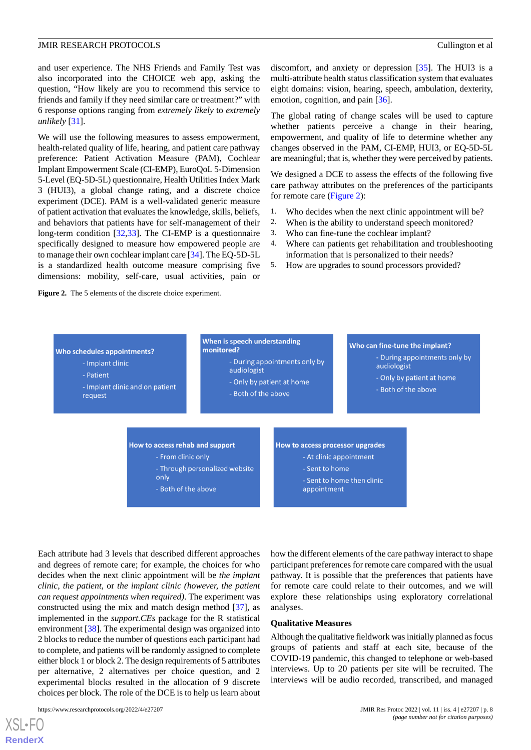and user experience. The NHS Friends and Family Test was also incorporated into the CHOICE web app, asking the question, "How likely are you to recommend this service to friends and family if they need similar care or treatment?" with 6 response options ranging from *extremely likely* to *extremely unlikely* [[31\]](#page-12-13).

We will use the following measures to assess empowerment, health-related quality of life, hearing, and patient care pathway preference: Patient Activation Measure (PAM), Cochlear Implant Empowerment Scale (CI-EMP), EuroQoL 5-Dimension 5-Level (EQ-5D-5L) questionnaire, Health Utilities Index Mark 3 (HUI3), a global change rating, and a discrete choice experiment (DCE). PAM is a well-validated generic measure of patient activation that evaluates the knowledge, skills, beliefs, and behaviors that patients have for self-management of their long-term condition [\[32](#page-12-14),[33\]](#page-12-15). The CI-EMP is a questionnaire specifically designed to measure how empowered people are to manage their own cochlear implant care [[34\]](#page-12-16). The EQ-5D-5L is a standardized health outcome measure comprising five dimensions: mobility, self-care, usual activities, pain or

<span id="page-7-0"></span>**Figure 2.** The 5 elements of the discrete choice experiment.

discomfort, and anxiety or depression [[35\]](#page-12-17). The HUI3 is a multi-attribute health status classification system that evaluates eight domains: vision, hearing, speech, ambulation, dexterity, emotion, cognition, and pain [\[36](#page-12-18)].

The global rating of change scales will be used to capture whether patients perceive a change in their hearing, empowerment, and quality of life to determine whether any changes observed in the PAM, CI-EMP, HUI3, or EQ-5D-5L are meaningful; that is, whether they were perceived by patients.

We designed a DCE to assess the effects of the following five care pathway attributes on the preferences of the participants for remote care [\(Figure 2](#page-7-0)):

- 1. Who decides when the next clinic appointment will be?<br>2. When is the ability to understand speech monitored?
- When is the ability to understand speech monitored?
- 3. Who can fine-tune the cochlear implant?
- 4. Where can patients get rehabilitation and troubleshooting information that is personalized to their needs?
- 5. How are upgrades to sound processors provided?



Each attribute had 3 levels that described different approaches and degrees of remote care; for example, the choices for who decides when the next clinic appointment will be *the implant clinic*, *the patient,* or *the implant clinic (however, the patient can request appointments when required)*. The experiment was constructed using the mix and match design method [\[37](#page-12-19)], as implemented in the *support.CEs* package for the R statistical environment [\[38](#page-12-20)]. The experimental design was organized into 2 blocks to reduce the number of questions each participant had to complete, and patients will be randomly assigned to complete either block 1 or block 2. The design requirements of 5 attributes per alternative, 2 alternatives per choice question, and 2 experimental blocks resulted in the allocation of 9 discrete choices per block. The role of the DCE is to help us learn about

how the different elements of the care pathway interact to shape participant preferences for remote care compared with the usual pathway. It is possible that the preferences that patients have for remote care could relate to their outcomes, and we will explore these relationships using exploratory correlational analyses.

#### **Qualitative Measures**

Although the qualitative fieldwork was initially planned as focus groups of patients and staff at each site, because of the COVID-19 pandemic, this changed to telephone or web-based interviews. Up to 20 patients per site will be recruited. The interviews will be audio recorded, transcribed, and managed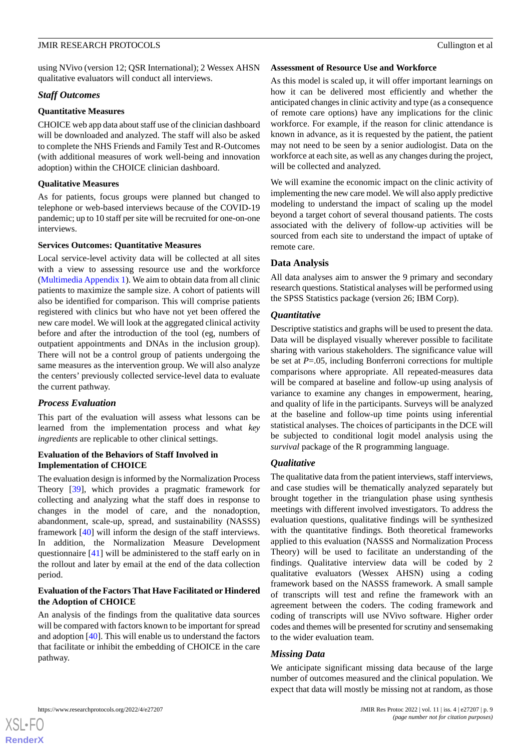using NVivo (version 12; QSR International); 2 Wessex AHSN qualitative evaluators will conduct all interviews.

#### *Staff Outcomes*

#### **Quantitative Measures**

CHOICE web app data about staff use of the clinician dashboard will be downloaded and analyzed. The staff will also be asked to complete the NHS Friends and Family Test and R-Outcomes (with additional measures of work well-being and innovation adoption) within the CHOICE clinician dashboard.

# **Qualitative Measures**

As for patients, focus groups were planned but changed to telephone or web-based interviews because of the COVID-19 pandemic; up to 10 staff per site will be recruited for one-on-one interviews.

# **Services Outcomes: Quantitative Measures**

Local service-level activity data will be collected at all sites with a view to assessing resource use and the workforce ([Multimedia Appendix 1\)](#page-11-15). We aim to obtain data from all clinic patients to maximize the sample size. A cohort of patients will also be identified for comparison. This will comprise patients registered with clinics but who have not yet been offered the new care model. We will look at the aggregated clinical activity before and after the introduction of the tool (eg, numbers of outpatient appointments and DNAs in the inclusion group). There will not be a control group of patients undergoing the same measures as the intervention group. We will also analyze the centers' previously collected service-level data to evaluate the current pathway.

# *Process Evaluation*

This part of the evaluation will assess what lessons can be learned from the implementation process and what *key ingredients* are replicable to other clinical settings.

# **Evaluation of the Behaviors of Staff Involved in Implementation of CHOICE**

The evaluation design is informed by the Normalization Process Theory [[39\]](#page-12-21), which provides a pragmatic framework for collecting and analyzing what the staff does in response to changes in the model of care, and the nonadoption, abandonment, scale-up, spread, and sustainability (NASSS) framework [\[40](#page-12-22)] will inform the design of the staff interviews. In addition, the Normalization Measure Development questionnaire [\[41](#page-13-0)] will be administered to the staff early on in the rollout and later by email at the end of the data collection period.

# **Evaluation of the Factors That Have Facilitated or Hindered the Adoption of CHOICE**

An analysis of the findings from the qualitative data sources will be compared with factors known to be important for spread and adoption [[40\]](#page-12-22). This will enable us to understand the factors that facilitate or inhibit the embedding of CHOICE in the care pathway.

#### **Assessment of Resource Use and Workforce**

As this model is scaled up, it will offer important learnings on how it can be delivered most efficiently and whether the anticipated changes in clinic activity and type (as a consequence of remote care options) have any implications for the clinic workforce. For example, if the reason for clinic attendance is known in advance, as it is requested by the patient, the patient may not need to be seen by a senior audiologist. Data on the workforce at each site, as well as any changes during the project, will be collected and analyzed.

We will examine the economic impact on the clinic activity of implementing the new care model. We will also apply predictive modeling to understand the impact of scaling up the model beyond a target cohort of several thousand patients. The costs associated with the delivery of follow-up activities will be sourced from each site to understand the impact of uptake of remote care.

# **Data Analysis**

All data analyses aim to answer the 9 primary and secondary research questions. Statistical analyses will be performed using the SPSS Statistics package (version 26; IBM Corp).

# *Quantitative*

Descriptive statistics and graphs will be used to present the data. Data will be displayed visually wherever possible to facilitate sharing with various stakeholders. The significance value will be set at *P*=.05, including Bonferroni corrections for multiple comparisons where appropriate. All repeated-measures data will be compared at baseline and follow-up using analysis of variance to examine any changes in empowerment, hearing, and quality of life in the participants. Surveys will be analyzed at the baseline and follow-up time points using inferential statistical analyses. The choices of participants in the DCE will be subjected to conditional logit model analysis using the *survival* package of the R programming language.

# *Qualitative*

The qualitative data from the patient interviews, staff interviews, and case studies will be thematically analyzed separately but brought together in the triangulation phase using synthesis meetings with different involved investigators. To address the evaluation questions, qualitative findings will be synthesized with the quantitative findings. Both theoretical frameworks applied to this evaluation (NASSS and Normalization Process Theory) will be used to facilitate an understanding of the findings. Qualitative interview data will be coded by 2 qualitative evaluators (Wessex AHSN) using a coding framework based on the NASSS framework. A small sample of transcripts will test and refine the framework with an agreement between the coders. The coding framework and coding of transcripts will use NVivo software. Higher order codes and themes will be presented for scrutiny and sensemaking to the wider evaluation team.

# *Missing Data*

We anticipate significant missing data because of the large number of outcomes measured and the clinical population. We expect that data will mostly be missing not at random, as those

 $XS$  $\cdot$ FC **[RenderX](http://www.renderx.com/)**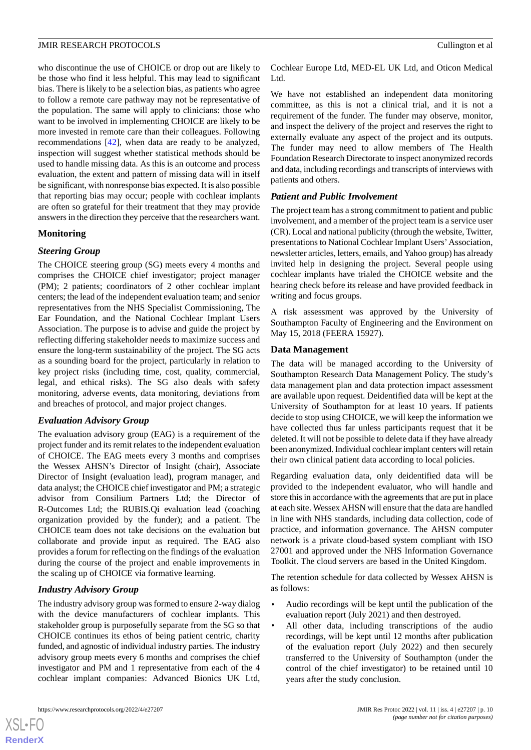who discontinue the use of CHOICE or drop out are likely to be those who find it less helpful. This may lead to significant bias. There is likely to be a selection bias, as patients who agree to follow a remote care pathway may not be representative of the population. The same will apply to clinicians: those who want to be involved in implementing CHOICE are likely to be more invested in remote care than their colleagues. Following recommendations [[42\]](#page-13-1), when data are ready to be analyzed, inspection will suggest whether statistical methods should be used to handle missing data. As this is an outcome and process evaluation, the extent and pattern of missing data will in itself be significant, with nonresponse bias expected. It is also possible that reporting bias may occur; people with cochlear implants are often so grateful for their treatment that they may provide answers in the direction they perceive that the researchers want.

# **Monitoring**

# *Steering Group*

The CHOICE steering group (SG) meets every 4 months and comprises the CHOICE chief investigator; project manager (PM); 2 patients; coordinators of 2 other cochlear implant centers; the lead of the independent evaluation team; and senior representatives from the NHS Specialist Commissioning, The Ear Foundation, and the National Cochlear Implant Users Association. The purpose is to advise and guide the project by reflecting differing stakeholder needs to maximize success and ensure the long**-**term sustainability of the project. The SG acts as a sounding board for the project, particularly in relation to key project risks (including time, cost, quality, commercial, legal, and ethical risks). The SG also deals with safety monitoring, adverse events, data monitoring, deviations from and breaches of protocol, and major project changes.

# *Evaluation Advisory Group*

The evaluation advisory group (EAG) is a requirement of the project funder and its remit relates to the independent evaluation of CHOICE. The EAG meets every 3 months and comprises the Wessex AHSN's Director of Insight (chair), Associate Director of Insight (evaluation lead), program manager, and data analyst; the CHOICE chief investigator and PM; a strategic advisor from Consilium Partners Ltd; the Director of R-Outcomes Ltd; the RUBIS.Qi evaluation lead (coaching organization provided by the funder); and a patient. The CHOICE team does not take decisions on the evaluation but collaborate and provide input as required. The EAG also provides a forum for reflecting on the findings of the evaluation during the course of the project and enable improvements in the scaling up of CHOICE via formative learning.

# *Industry Advisory Group*

The industry advisory group was formed to ensure 2-way dialog with the device manufacturers of cochlear implants. This stakeholder group is purposefully separate from the SG so that CHOICE continues its ethos of being patient centric, charity funded, and agnostic of individual industry parties. The industry advisory group meets every 6 months and comprises the chief investigator and PM and 1 representative from each of the 4 cochlear implant companies: Advanced Bionics UK Ltd, Cochlear Europe Ltd, MED-EL UK Ltd, and Oticon Medical Ltd.

We have not established an independent data monitoring committee, as this is not a clinical trial, and it is not a requirement of the funder. The funder may observe, monitor, and inspect the delivery of the project and reserves the right to externally evaluate any aspect of the project and its outputs. The funder may need to allow members of The Health Foundation Research Directorate to inspect anonymized records and data, including recordings and transcripts of interviews with patients and others.

# *Patient and Public Involvement*

The project team has a strong commitment to patient and public involvement, and a member of the project team is a service user (CR). Local and national publicity (through the website, Twitter, presentations to National Cochlear Implant Users'Association, newsletter articles, letters, emails, and Yahoo group) has already invited help in designing the project. Several people using cochlear implants have trialed the CHOICE website and the hearing check before its release and have provided feedback in writing and focus groups.

A risk assessment was approved by the University of Southampton Faculty of Engineering and the Environment on May 15, 2018 (FEERA 15927).

# **Data Management**

The data will be managed according to the University of Southampton Research Data Management Policy. The study's data management plan and data protection impact assessment are available upon request. Deidentified data will be kept at the University of Southampton for at least 10 years. If patients decide to stop using CHOICE, we will keep the information we have collected thus far unless participants request that it be deleted. It will not be possible to delete data if they have already been anonymized. Individual cochlear implant centers will retain their own clinical patient data according to local policies.

Regarding evaluation data, only deidentified data will be provided to the independent evaluator, who will handle and store this in accordance with the agreements that are put in place at each site. Wessex AHSN will ensure that the data are handled in line with NHS standards, including data collection, code of practice, and information governance. The AHSN computer network is a private cloud-based system compliant with ISO 27001 and approved under the NHS Information Governance Toolkit. The cloud servers are based in the United Kingdom.

The retention schedule for data collected by Wessex AHSN is as follows:

- Audio recordings will be kept until the publication of the evaluation report (July 2021) and then destroyed.
- All other data, including transcriptions of the audio recordings, will be kept until 12 months after publication of the evaluation report (July 2022) and then securely transferred to the University of Southampton (under the control of the chief investigator) to be retained until 10 years after the study conclusion.

 $XS$  • FO **[RenderX](http://www.renderx.com/)**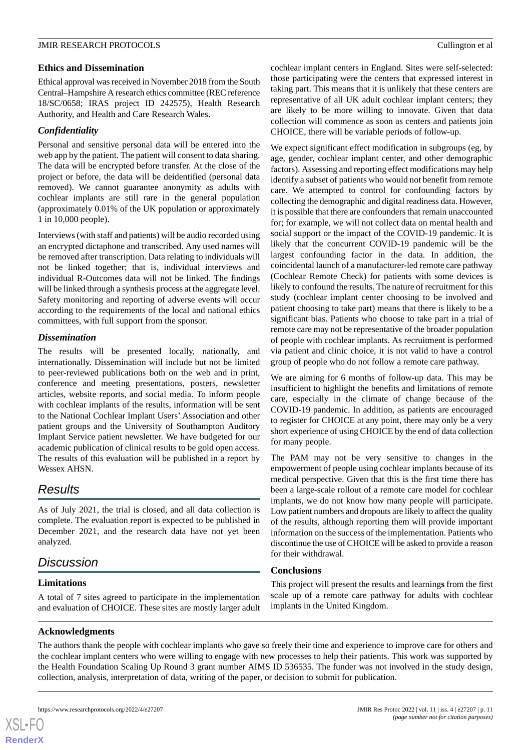### **Ethics and Dissemination**

Ethical approval was received in November 2018 from the South Central–Hampshire A research ethics committee (REC reference 18/SC/0658; IRAS project ID 242575), Health Research Authority, and Health and Care Research Wales.

# *Confidentiality*

Personal and sensitive personal data will be entered into the web app by the patient. The patient will consent to data sharing. The data will be encrypted before transfer. At the close of the project or before, the data will be deidentified (personal data removed). We cannot guarantee anonymity as adults with cochlear implants are still rare in the general population (approximately 0.01% of the UK population or approximately 1 in 10,000 people).

Interviews (with staff and patients) will be audio recorded using an encrypted dictaphone and transcribed. Any used names will be removed after transcription. Data relating to individuals will not be linked together; that is, individual interviews and individual R-Outcomes data will not be linked. The findings will be linked through a synthesis process at the aggregate level. Safety monitoring and reporting of adverse events will occur according to the requirements of the local and national ethics committees, with full support from the sponsor.

# *Dissemination*

The results will be presented locally, nationally, and internationally. Dissemination will include but not be limited to peer-reviewed publications both on the web and in print, conference and meeting presentations, posters, newsletter articles, website reports, and social media. To inform people with cochlear implants of the results, information will be sent to the National Cochlear Implant Users' Association and other patient groups and the University of Southampton Auditory Implant Service patient newsletter. We have budgeted for our academic publication of clinical results to be gold open access. The results of this evaluation will be published in a report by Wessex AHSN.

# *Results*

As of July 2021, the trial is closed, and all data collection is complete. The evaluation report is expected to be published in December 2021, and the research data have not yet been analyzed.

# *Discussion*

# **Limitations**

A total of 7 sites agreed to participate in the implementation and evaluation of CHOICE. These sites are mostly larger adult cochlear implant centers in England. Sites were self-selected: those participating were the centers that expressed interest in taking part. This means that it is unlikely that these centers are representative of all UK adult cochlear implant centers; they are likely to be more willing to innovate. Given that data collection will commence as soon as centers and patients join CHOICE, there will be variable periods of follow-up.

We expect significant effect modification in subgroups (eg, by age, gender, cochlear implant center, and other demographic factors). Assessing and reporting effect modifications may help identify a subset of patients who would not benefit from remote care. We attempted to control for confounding factors by collecting the demographic and digital readiness data. However, it is possible that there are confounders that remain unaccounted for; for example, we will not collect data on mental health and social support or the impact of the COVID-19 pandemic. It is likely that the concurrent COVID-19 pandemic will be the largest confounding factor in the data. In addition, the coincidental launch of a manufacturer-led remote care pathway (Cochlear Remote Check) for patients with some devices is likely to confound the results. The nature of recruitment for this study (cochlear implant center choosing to be involved and patient choosing to take part) means that there is likely to be a significant bias. Patients who choose to take part in a trial of remote care may not be representative of the broader population of people with cochlear implants. As recruitment is performed via patient and clinic choice, it is not valid to have a control group of people who do not follow a remote care pathway.

We are aiming for 6 months of follow-up data. This may be insufficient to highlight the benefits and limitations of remote care, especially in the climate of change because of the COVID-19 pandemic. In addition, as patients are encouraged to register for CHOICE at any point, there may only be a very short experience of using CHOICE by the end of data collection for many people.

The PAM may not be very sensitive to changes in the empowerment of people using cochlear implants because of its medical perspective. Given that this is the first time there has been a large-scale rollout of a remote care model for cochlear implants, we do not know how many people will participate. Low patient numbers and dropouts are likely to affect the quality of the results, although reporting them will provide important information on the success of the implementation. Patients who discontinue the use of CHOICE will be asked to provide a reason for their withdrawal.

#### **Conclusions**

This project will present the results and learning**s** from the first scale up of a remote care pathway for adults with cochlear implants in the United Kingdom.

# **Acknowledgments**

The authors thank the people with cochlear implants who gave so freely their time and experience to improve care for others and the cochlear implant centers who were willing to engage with new processes to help their patients. This work was supported by the Health Foundation Scaling Up Round 3 grant number AIMS ID 536535. The funder was not involved in the study design, collection, analysis, interpretation of data, writing of the paper, or decision to submit for publication.

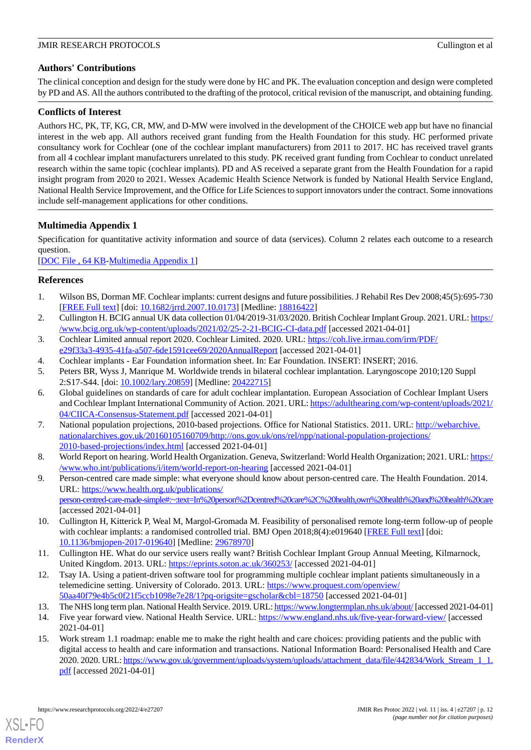# **Authors' Contributions**

The clinical conception and design for the study were done by HC and PK. The evaluation conception and design were completed by PD and AS. All the authors contributed to the drafting of the protocol, critical revision of the manuscript, and obtaining funding.

# **Conflicts of Interest**

Authors HC, PK, TF, KG, CR, MW, and D-MW were involved in the development of the CHOICE web app but have no financial interest in the web app. All authors received grant funding from the Health Foundation for this study. HC performed private consultancy work for Cochlear (one of the cochlear implant manufacturers) from 2011 to 2017. HC has received travel grants from all 4 cochlear implant manufacturers unrelated to this study. PK received grant funding from Cochlear to conduct unrelated research within the same topic (cochlear implants). PD and AS received a separate grant from the Health Foundation for a rapid insight program from 2020 to 2021. Wessex Academic Health Science Network is funded by National Health Service England, National Health Service Improvement, and the Office for Life Sciences to support innovators under the contract. Some innovations include self-management applications for other conditions.

# <span id="page-11-15"></span>**Multimedia Appendix 1**

Specification for quantitative activity information and source of data (services). Column 2 relates each outcome to a research question.

<span id="page-11-0"></span>[[DOC File , 64 KB-Multimedia Appendix 1](https://jmir.org/api/download?alt_name=resprot_v11i4e27207_app1.doc&filename=109e6131e1272f5664f12b454858fec3.doc)]

# <span id="page-11-1"></span>**References**

- <span id="page-11-2"></span>1. Wilson BS, Dorman MF. Cochlear implants: current designs and future possibilities. J Rehabil Res Dev 2008;45(5):695-730 [[FREE Full text](https://www.rehab.research.va.gov/jour/08/45/5/pdf/Wilson.pdf)] [doi: [10.1682/jrrd.2007.10.0173\]](http://dx.doi.org/10.1682/jrrd.2007.10.0173) [Medline: [18816422](http://www.ncbi.nlm.nih.gov/entrez/query.fcgi?cmd=Retrieve&db=PubMed&list_uids=18816422&dopt=Abstract)]
- <span id="page-11-4"></span>2. Cullington H. BCIG annual UK data collection 01/04/2019-31/03/2020. British Cochlear Implant Group. 2021. URL: [https:/](https://www.bcig.org.uk/wp-content/uploads/2021/02/25-2-21-BCIG-CI-data.pdf) [/www.bcig.org.uk/wp-content/uploads/2021/02/25-2-21-BCIG-CI-data.pdf](https://www.bcig.org.uk/wp-content/uploads/2021/02/25-2-21-BCIG-CI-data.pdf) [accessed 2021-04-01]
- <span id="page-11-3"></span>3. Cochlear Limited annual report 2020. Cochlear Limited. 2020. URL: [https://coh.live.irmau.com/irm/PDF/](https://coh.live.irmau.com/irm/PDF/e29f33a3-4935-41fa-a507-6de1591cee69/2020AnnualReport) [e29f33a3-4935-41fa-a507-6de1591cee69/2020AnnualReport](https://coh.live.irmau.com/irm/PDF/e29f33a3-4935-41fa-a507-6de1591cee69/2020AnnualReport) [accessed 2021-04-01]
- <span id="page-11-5"></span>4. Cochlear implants - Ear Foundation information sheet. In: Ear Foundation. INSERT: INSERT; 2016.
- 5. Peters BR, Wyss J, Manrique M. Worldwide trends in bilateral cochlear implantation. Laryngoscope 2010;120 Suppl 2:S17-S44. [doi: [10.1002/lary.20859\]](http://dx.doi.org/10.1002/lary.20859) [Medline: [20422715\]](http://www.ncbi.nlm.nih.gov/entrez/query.fcgi?cmd=Retrieve&db=PubMed&list_uids=20422715&dopt=Abstract)
- <span id="page-11-6"></span>6. Global guidelines on standards of care for adult cochlear implantation. European Association of Cochlear Implant Users and Cochlear Implant International Community of Action. 2021. URL: [https://adulthearing.com/wp-content/uploads/2021/](https://adulthearing.com/wp-content/uploads/2021/04/CIICA-Consensus-Statement.pdf) [04/CIICA-Consensus-Statement.pdf](https://adulthearing.com/wp-content/uploads/2021/04/CIICA-Consensus-Statement.pdf) [accessed 2021-04-01]
- <span id="page-11-8"></span><span id="page-11-7"></span>7. National population projections, 2010-based projections. Office for National Statistics. 2011. URL: [http://webarchive.](http://webarchive.nationalarchives.gov.uk/20160105160709/http://ons.gov.uk/ons/rel/npp/national-population-projections/2010-based-projections/index.html) [nationalarchives.gov.uk/20160105160709/http://ons.gov.uk/ons/rel/npp/national-population-projections/](http://webarchive.nationalarchives.gov.uk/20160105160709/http://ons.gov.uk/ons/rel/npp/national-population-projections/2010-based-projections/index.html) [2010-based-projections/index.html](http://webarchive.nationalarchives.gov.uk/20160105160709/http://ons.gov.uk/ons/rel/npp/national-population-projections/2010-based-projections/index.html) [accessed 2021-04-01]
- 8. World Report on hearing. World Health Organization. Geneva, Switzerland: World Health Organization; 2021. URL: [https:/](https://www.who.int/publications/i/item/world-report-on-hearing) [/www.who.int/publications/i/item/world-report-on-hearing](https://www.who.int/publications/i/item/world-report-on-hearing) [accessed 2021-04-01]
- <span id="page-11-10"></span><span id="page-11-9"></span>9. Person-centred care made simple: what everyone should know about person-centred care. The Health Foundation. 2014. URL: [https://www.health.org.uk/publications/](https://www.health.org.uk/publications/person-centred-care-made-simple#:~:text=In%20person%2Dcentred%20care%2C%20health,own%20health%20and%20health%20care) [person-centred-care-made-simple#:~:text=In%20person%2Dcentred%20care%2C%20health,own%20health%20and%20health%20care](https://www.health.org.uk/publications/person-centred-care-made-simple#:~:text=In%20person%2Dcentred%20care%2C%20health,own%20health%20and%20health%20care) [accessed 2021-04-01]
- <span id="page-11-11"></span>10. Cullington H, Kitterick P, Weal M, Margol-Gromada M. Feasibility of personalised remote long-term follow-up of people with cochlear implants: a randomised controlled trial. BMJ Open 2018;8(4):e019640 [[FREE Full text](https://bmjopen.bmj.com/lookup/pmidlookup?view=long&pmid=29678970)] [doi: [10.1136/bmjopen-2017-019640\]](http://dx.doi.org/10.1136/bmjopen-2017-019640) [Medline: [29678970](http://www.ncbi.nlm.nih.gov/entrez/query.fcgi?cmd=Retrieve&db=PubMed&list_uids=29678970&dopt=Abstract)]
- <span id="page-11-13"></span><span id="page-11-12"></span>11. Cullington HE. What do our service users really want? British Cochlear Implant Group Annual Meeting, Kilmarnock, United Kingdom. 2013. URL:<https://eprints.soton.ac.uk/360253/> [accessed 2021-04-01]
- <span id="page-11-14"></span>12. Tsay IA. Using a patient-driven software tool for programming multiple cochlear implant patients simultaneously in a telemedicine setting. University of Colorado. 2013. URL: [https://www.proquest.com/openview/](https://www.proquest.com/openview/50aa40f79e4b5c0f21f5ccb1098e7e28/1?pq-origsite=gscholar&cbl=18750) [50aa40f79e4b5c0f21f5ccb1098e7e28/1?pq-origsite=gscholar&cbl=18750](https://www.proquest.com/openview/50aa40f79e4b5c0f21f5ccb1098e7e28/1?pq-origsite=gscholar&cbl=18750) [accessed 2021-04-01]
- 13. The NHS long term plan. National Health Service. 2019. URL:<https://www.longtermplan.nhs.uk/about/> [accessed 2021-04-01]
- 14. Five year forward view. National Health Service. URL:<https://www.england.nhs.uk/five-year-forward-view/> [accessed 2021-04-01]
- 15. Work stream 1.1 roadmap: enable me to make the right health and care choices: providing patients and the public with digital access to health and care information and transactions. National Information Board: Personalised Health and Care 2020. 2020. URL: [https://www.gov.uk/government/uploads/system/uploads/attachment\\_data/file/442834/Work\\_Stream\\_1\\_1.](https://www.gov.uk/government/uploads/system/uploads/attachment_data/file/442834/Work_Stream_1_1.pdf) [pdf](https://www.gov.uk/government/uploads/system/uploads/attachment_data/file/442834/Work_Stream_1_1.pdf) [accessed 2021-04-01]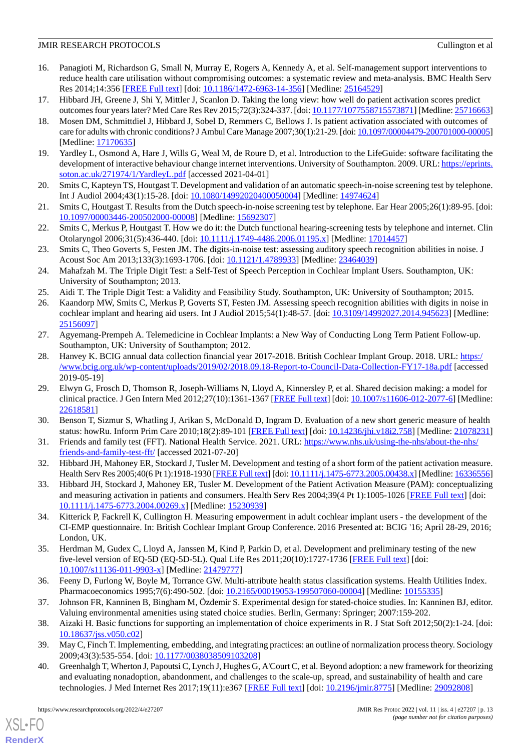- <span id="page-12-0"></span>16. Panagioti M, Richardson G, Small N, Murray E, Rogers A, Kennedy A, et al. Self-management support interventions to reduce health care utilisation without compromising outcomes: a systematic review and meta-analysis. BMC Health Serv Res 2014;14:356 [\[FREE Full text\]](https://bmchealthservres.biomedcentral.com/articles/10.1186/1472-6963-14-356) [doi: [10.1186/1472-6963-14-356](http://dx.doi.org/10.1186/1472-6963-14-356)] [Medline: [25164529](http://www.ncbi.nlm.nih.gov/entrez/query.fcgi?cmd=Retrieve&db=PubMed&list_uids=25164529&dopt=Abstract)]
- <span id="page-12-2"></span><span id="page-12-1"></span>17. Hibbard JH, Greene J, Shi Y, Mittler J, Scanlon D. Taking the long view: how well do patient activation scores predict outcomes four years later? Med Care Res Rev 2015;72(3):324-337. [doi: [10.1177/1077558715573871](http://dx.doi.org/10.1177/1077558715573871)] [Medline: [25716663\]](http://www.ncbi.nlm.nih.gov/entrez/query.fcgi?cmd=Retrieve&db=PubMed&list_uids=25716663&dopt=Abstract)
- 18. Mosen DM, Schmittdiel J, Hibbard J, Sobel D, Remmers C, Bellows J. Is patient activation associated with outcomes of care for adults with chronic conditions? J Ambul Care Manage 2007;30(1):21-29. [doi: [10.1097/00004479-200701000-00005\]](http://dx.doi.org/10.1097/00004479-200701000-00005) [Medline: [17170635](http://www.ncbi.nlm.nih.gov/entrez/query.fcgi?cmd=Retrieve&db=PubMed&list_uids=17170635&dopt=Abstract)]
- <span id="page-12-4"></span><span id="page-12-3"></span>19. Yardley L, Osmond A, Hare J, Wills G, Weal M, de Roure D, et al. Introduction to the LifeGuide: software facilitating the development of interactive behaviour change internet interventions. University of Southampton. 2009. URL: [https://eprints.](https://eprints.soton.ac.uk/271974/1/YardleyL.pdf) [soton.ac.uk/271974/1/YardleyL.pdf](https://eprints.soton.ac.uk/271974/1/YardleyL.pdf) [accessed 2021-04-01]
- <span id="page-12-5"></span>20. Smits C, Kapteyn TS, Houtgast T. Development and validation of an automatic speech-in-noise screening test by telephone. Int J Audiol 2004;43(1):15-28. [doi: [10.1080/14992020400050004](http://dx.doi.org/10.1080/14992020400050004)] [Medline: [14974624\]](http://www.ncbi.nlm.nih.gov/entrez/query.fcgi?cmd=Retrieve&db=PubMed&list_uids=14974624&dopt=Abstract)
- <span id="page-12-6"></span>21. Smits C, Houtgast T. Results from the Dutch speech-in-noise screening test by telephone. Ear Hear 2005;26(1):89-95. [doi: [10.1097/00003446-200502000-00008](http://dx.doi.org/10.1097/00003446-200502000-00008)] [Medline: [15692307](http://www.ncbi.nlm.nih.gov/entrez/query.fcgi?cmd=Retrieve&db=PubMed&list_uids=15692307&dopt=Abstract)]
- <span id="page-12-7"></span>22. Smits C, Merkus P, Houtgast T. How we do it: the Dutch functional hearing-screening tests by telephone and internet. Clin Otolaryngol 2006;31(5):436-440. [doi: [10.1111/j.1749-4486.2006.01195.x\]](http://dx.doi.org/10.1111/j.1749-4486.2006.01195.x) [Medline: [17014457\]](http://www.ncbi.nlm.nih.gov/entrez/query.fcgi?cmd=Retrieve&db=PubMed&list_uids=17014457&dopt=Abstract)
- <span id="page-12-8"></span>23. Smits C, Theo Goverts S, Festen JM. The digits-in-noise test: assessing auditory speech recognition abilities in noise. J Acoust Soc Am 2013;133(3):1693-1706. [doi: [10.1121/1.4789933](http://dx.doi.org/10.1121/1.4789933)] [Medline: [23464039\]](http://www.ncbi.nlm.nih.gov/entrez/query.fcgi?cmd=Retrieve&db=PubMed&list_uids=23464039&dopt=Abstract)
- 24. Mahafzah M. The Triple Digit Test: a Self-Test of Speech Perception in Cochlear Implant Users. Southampton, UK: University of Southampton; 2013.
- 25. Aidi T. The Triple Digit Test: a Validity and Feasibility Study. Southampton, UK: University of Southampton; 2015.
- <span id="page-12-9"></span>26. Kaandorp MW, Smits C, Merkus P, Goverts ST, Festen JM. Assessing speech recognition abilities with digits in noise in cochlear implant and hearing aid users. Int J Audiol 2015;54(1):48-57. [doi: [10.3109/14992027.2014.945623](http://dx.doi.org/10.3109/14992027.2014.945623)] [Medline: [25156097](http://www.ncbi.nlm.nih.gov/entrez/query.fcgi?cmd=Retrieve&db=PubMed&list_uids=25156097&dopt=Abstract)]
- <span id="page-12-10"></span>27. Agyemang-Prempeh A. Telemedicine in Cochlear Implants: a New Way of Conducting Long Term Patient Follow-up. Southampton, UK: University of Southampton; 2012.
- <span id="page-12-11"></span>28. Hanvey K. BCIG annual data collection financial year 2017-2018. British Cochlear Implant Group. 2018. URL: [https:/](https://www.bcig.org.uk/wp-content/uploads/2019/02/2018.09.18-Report-to-Council-Data-Collection-FY17-18a.pdf) [/www.bcig.org.uk/wp-content/uploads/2019/02/2018.09.18-Report-to-Council-Data-Collection-FY17-18a.pdf](https://www.bcig.org.uk/wp-content/uploads/2019/02/2018.09.18-Report-to-Council-Data-Collection-FY17-18a.pdf) [accessed 2019-05-19]
- <span id="page-12-13"></span><span id="page-12-12"></span>29. Elwyn G, Frosch D, Thomson R, Joseph-Williams N, Lloyd A, Kinnersley P, et al. Shared decision making: a model for clinical practice. J Gen Intern Med 2012;27(10):1361-1367 [\[FREE Full text\]](http://europepmc.org/abstract/MED/22618581) [doi: [10.1007/s11606-012-2077-6\]](http://dx.doi.org/10.1007/s11606-012-2077-6) [Medline: [22618581](http://www.ncbi.nlm.nih.gov/entrez/query.fcgi?cmd=Retrieve&db=PubMed&list_uids=22618581&dopt=Abstract)]
- <span id="page-12-14"></span>30. Benson T, Sizmur S, Whatling J, Arikan S, McDonald D, Ingram D. Evaluation of a new short generic measure of health status: howRu. Inform Prim Care 2010;18(2):89-101 [[FREE Full text\]](http://hijournal.bcs.org/index.php/jhi/article/view/758) [doi: [10.14236/jhi.v18i2.758](http://dx.doi.org/10.14236/jhi.v18i2.758)] [Medline: [21078231](http://www.ncbi.nlm.nih.gov/entrez/query.fcgi?cmd=Retrieve&db=PubMed&list_uids=21078231&dopt=Abstract)]
- <span id="page-12-15"></span>31. Friends and family test (FFT). National Health Service. 2021. URL: [https://www.nhs.uk/using-the-nhs/about-the-nhs/](https://www.nhs.uk/using-the-nhs/about-the-nhs/friends-and-family-test-fft/) [friends-and-family-test-fft/](https://www.nhs.uk/using-the-nhs/about-the-nhs/friends-and-family-test-fft/) [accessed 2021-07-20]
- <span id="page-12-16"></span>32. Hibbard JH, Mahoney ER, Stockard J, Tusler M. Development and testing of a short form of the patient activation measure. Health Serv Res 2005;40(6 Pt 1):1918-1930 [\[FREE Full text](http://europepmc.org/abstract/MED/16336556)] [doi: [10.1111/j.1475-6773.2005.00438.x](http://dx.doi.org/10.1111/j.1475-6773.2005.00438.x)] [Medline: [16336556\]](http://www.ncbi.nlm.nih.gov/entrez/query.fcgi?cmd=Retrieve&db=PubMed&list_uids=16336556&dopt=Abstract)
- <span id="page-12-17"></span>33. Hibbard JH, Stockard J, Mahoney ER, Tusler M. Development of the Patient Activation Measure (PAM): conceptualizing and measuring activation in patients and consumers. Health Serv Res 2004;39(4 Pt 1):1005-1026 [[FREE Full text](http://europepmc.org/abstract/MED/15230939)] [doi: [10.1111/j.1475-6773.2004.00269.x\]](http://dx.doi.org/10.1111/j.1475-6773.2004.00269.x) [Medline: [15230939\]](http://www.ncbi.nlm.nih.gov/entrez/query.fcgi?cmd=Retrieve&db=PubMed&list_uids=15230939&dopt=Abstract)
- <span id="page-12-18"></span>34. Kitterick P, Fackrell K, Cullington H. Measuring empowerment in adult cochlear implant users - the development of the CI-EMP questionnaire. In: British Cochlear Implant Group Conference. 2016 Presented at: BCIG '16; April 28-29, 2016; London, UK.
- <span id="page-12-20"></span><span id="page-12-19"></span>35. Herdman M, Gudex C, Lloyd A, Janssen M, Kind P, Parkin D, et al. Development and preliminary testing of the new five-level version of EQ-5D (EQ-5D-5L). Qual Life Res 2011;20(10):1727-1736 [\[FREE Full text\]](http://europepmc.org/abstract/MED/21479777) [doi: [10.1007/s11136-011-9903-x\]](http://dx.doi.org/10.1007/s11136-011-9903-x) [Medline: [21479777](http://www.ncbi.nlm.nih.gov/entrez/query.fcgi?cmd=Retrieve&db=PubMed&list_uids=21479777&dopt=Abstract)]
- <span id="page-12-21"></span>36. Feeny D, Furlong W, Boyle M, Torrance GW. Multi-attribute health status classification systems. Health Utilities Index. Pharmacoeconomics 1995;7(6):490-502. [doi: [10.2165/00019053-199507060-00004\]](http://dx.doi.org/10.2165/00019053-199507060-00004) [Medline: [10155335](http://www.ncbi.nlm.nih.gov/entrez/query.fcgi?cmd=Retrieve&db=PubMed&list_uids=10155335&dopt=Abstract)]
- <span id="page-12-22"></span>37. Johnson FR, Kanninen B, Bingham M, Özdemir S. Experimental design for stated-choice studies. In: Kanninen BJ, editor. Valuing environmental amenities using stated choice studies. Berlin, Germany: Springer; 2007:159-202.
- 38. Aizaki H. Basic functions for supporting an implementation of choice experiments in R. J Stat Soft 2012;50(2):1-24. [doi: [10.18637/jss.v050.c02\]](http://dx.doi.org/10.18637/jss.v050.c02)
- 39. May C, Finch T. Implementing, embedding, and integrating practices: an outline of normalization process theory. Sociology 2009;43(3):535-554. [doi: [10.1177/0038038509103208\]](http://dx.doi.org/10.1177/0038038509103208)
- 40. Greenhalgh T, Wherton J, Papoutsi C, Lynch J, Hughes G, A'Court C, et al. Beyond adoption: a new framework for theorizing and evaluating nonadoption, abandonment, and challenges to the scale-up, spread, and sustainability of health and care technologies. J Med Internet Res 2017;19(11):e367 [[FREE Full text](https://www.jmir.org/2017/11/e367/)] [doi: [10.2196/jmir.8775](http://dx.doi.org/10.2196/jmir.8775)] [Medline: [29092808](http://www.ncbi.nlm.nih.gov/entrez/query.fcgi?cmd=Retrieve&db=PubMed&list_uids=29092808&dopt=Abstract)]